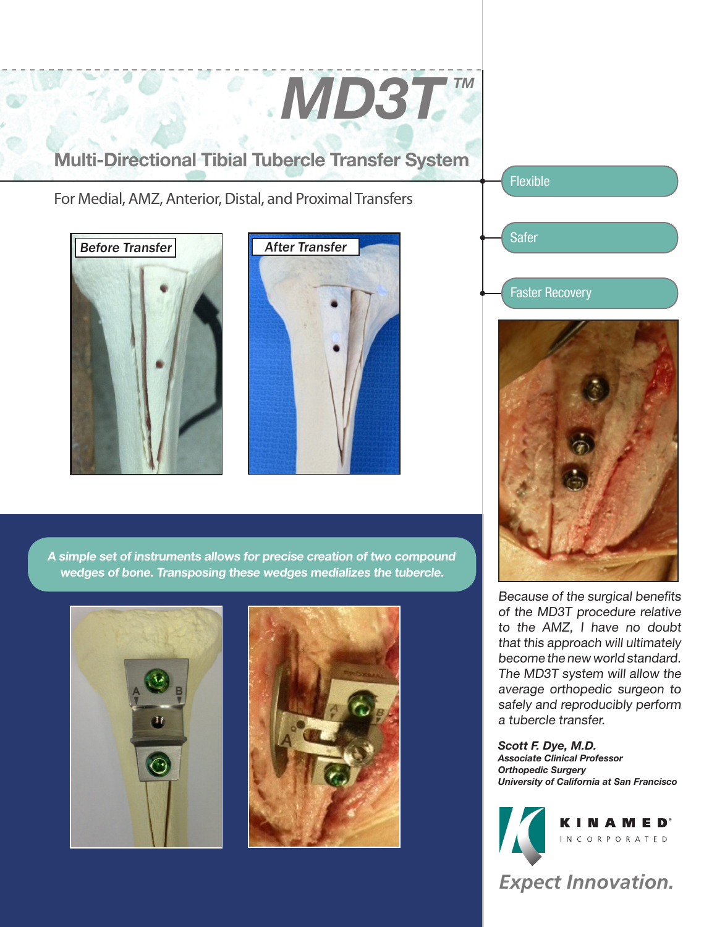Multi-Directional Tibial Tubercle Transfer System

For Medial, AMZ, Anterior, Distal, and Proximal Transfers





*MD3T™* 

Flexible

Safer

Faster Recovery



Because of the surgical benefits of the MD3T procedure relative to the AMZ, I have no doubt that this approach will ultimately become the new world standard. The MD3T system will allow the average orthopedic surgeon to safely and reproducibly perform a tubercle transfer.

*Scott F. Dye, M.D. Associate Clinical Professor Orthopedic Surgery University of California at San Francisco*



*Expect Innovation.*

A simple set of instruments allows for precise creation of two compound wedges of bone. Transposing these wedges medializes the tubercle.